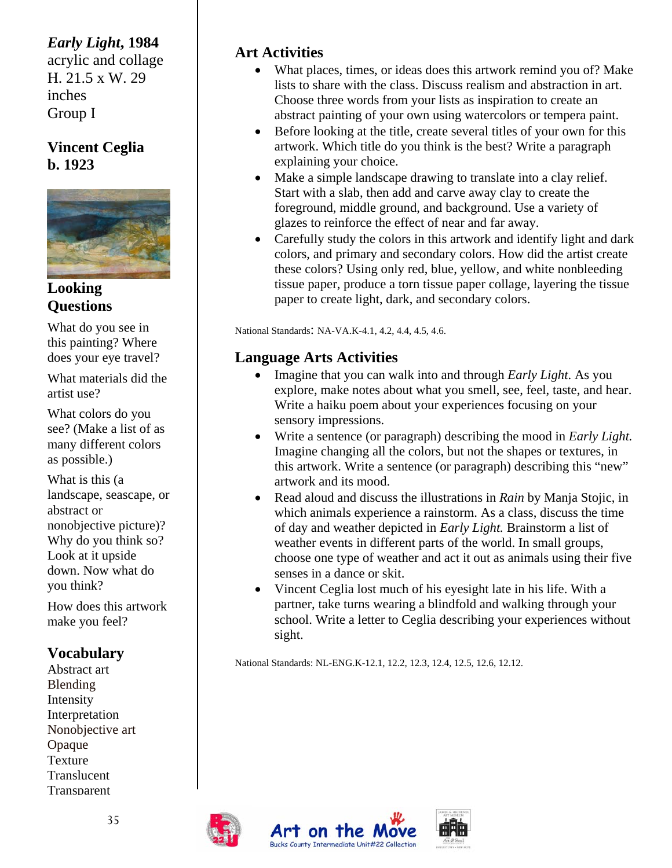## *Early Light***, 1984**

acrylic and collage H. 21.5 x W. 29 inches Group I

#### **Vincent Ceglia b. 1923**



#### **Looking Questions**

What do you see in this painting? Where does your eye travel?

What materials did the artist use?

What colors do you see? (Make a list of as many different colors as possible.)

What is this (a landscape, seascape, or abstract or nonobjective picture)? Why do you think so? Look at it upside down. Now what do you think?

How does this artwork make you feel?

# **Vocabulary**

Abstract art Blending Intensity Interpretation Nonobjective art Opaque Texture **Translucent Transparent** 

## **Art Activities**

- What places, times, or ideas does this artwork remind you of? Make lists to share with the class. Discuss realism and abstraction in art. Choose three words from your lists as inspiration to create an abstract painting of your own using watercolors or tempera paint.
- Before looking at the title, create several titles of your own for this artwork. Which title do you think is the best? Write a paragraph explaining your choice.
- Make a simple landscape drawing to translate into a clay relief. Start with a slab, then add and carve away clay to create the foreground, middle ground, and background. Use a variety of glazes to reinforce the effect of near and far away.
- Carefully study the colors in this artwork and identify light and dark colors, and primary and secondary colors. How did the artist create these colors? Using only red, blue, yellow, and white nonbleeding tissue paper, produce a torn tissue paper collage, layering the tissue paper to create light, dark, and secondary colors.

National Standards: NA-VA.K-4.1, 4.2, 4.4, 4.5, 4.6.

### **Language Arts Activities**

- Imagine that you can walk into and through *Early Light*. As you explore, make notes about what you smell, see, feel, taste, and hear. Write a haiku poem about your experiences focusing on your sensory impressions.
- Write a sentence (or paragraph) describing the mood in *Early Light.*  Imagine changing all the colors, but not the shapes or textures, in this artwork. Write a sentence (or paragraph) describing this "new" artwork and its mood.
- Read aloud and discuss the illustrations in *Rain* by Manja Stojic, in which animals experience a rainstorm. As a class, discuss the time of day and weather depicted in *Early Light.* Brainstorm a list of weather events in different parts of the world. In small groups, choose one type of weather and act it out as animals using their five senses in a dance or skit.
- Vincent Ceglia lost much of his eyesight late in his life. With a partner, take turns wearing a blindfold and walking through your school. Write a letter to Ceglia describing your experiences without sight.

National Standards: NL-ENG.K-12.1, 12.2, 12.3, 12.4, 12.5, 12.6, 12.12.